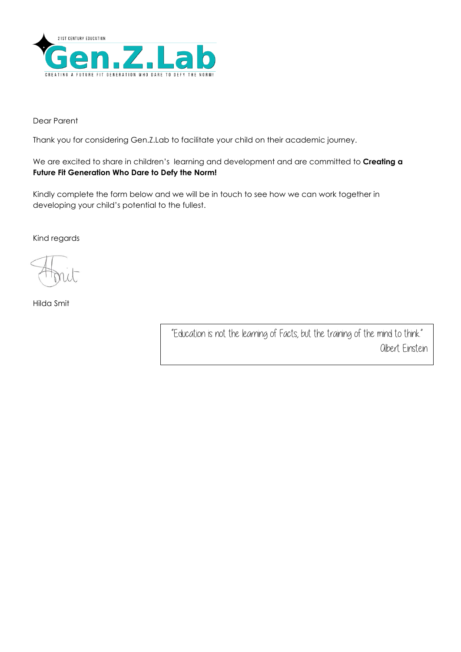

Dear Parent

Thank you for considering Gen.Z.Lab to facilitate your child on their academic journey.

We are excited to share in children's learning and development and are committed to **Creating a Future Fit Generation Who Dare to Defy the Norm!**

Kindly complete the form below and we will be in touch to see how we can work together in developing your child's potential to the fullest.

Kind regards

Hilda Smit

"Education is not the learning of Facts, but the training of the mind to think." Albert Einstein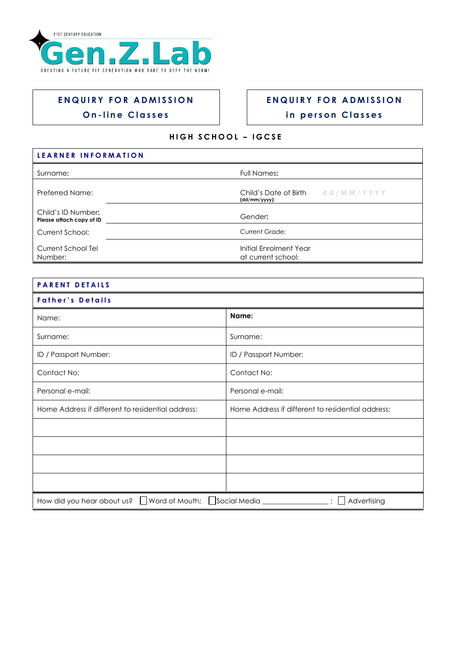

## **ENQUIRY FOR ADMISSION O n - l i n e C l a s s e s**

## **E N Q U I R Y F O R A D M I S S I O N**

## **i n p e r s o n C l a s s e s**

## **H I G H S C H O O L – I G C S E**

| LEARNER INFORMATION                            |                                                             |
|------------------------------------------------|-------------------------------------------------------------|
| Surname:                                       | Full Names:                                                 |
| Preferred Name:                                | Child's Date of Birth $d \mid M M / Y Y Y$<br>(dd/mm/yyyy): |
| Child's ID Number:<br>Please attach copy of ID | Gender:                                                     |
| Current School:                                | <b>Current Grade:</b>                                       |
| Current School Tel<br>Number:                  | Initial Enrolment Year<br>at current school:                |

| <b>PARENT DETAILS</b>                                                           |                                                   |  |  |  |
|---------------------------------------------------------------------------------|---------------------------------------------------|--|--|--|
| <b>Father's Details</b>                                                         |                                                   |  |  |  |
| Name:                                                                           | Name:                                             |  |  |  |
| Surname:                                                                        | Surname:                                          |  |  |  |
| ID / Passport Number:                                                           | ID / Passport Number:                             |  |  |  |
| Contact No:                                                                     | Contact No:                                       |  |  |  |
| Personal e-mail:                                                                | Personal e-mail:                                  |  |  |  |
| Home Address if different to residential address:                               | Home Address if different to residential address: |  |  |  |
|                                                                                 |                                                   |  |  |  |
|                                                                                 |                                                   |  |  |  |
|                                                                                 |                                                   |  |  |  |
|                                                                                 |                                                   |  |  |  |
| How did you hear about us? U Word of Mouth; Social Media _______<br>Advertising |                                                   |  |  |  |